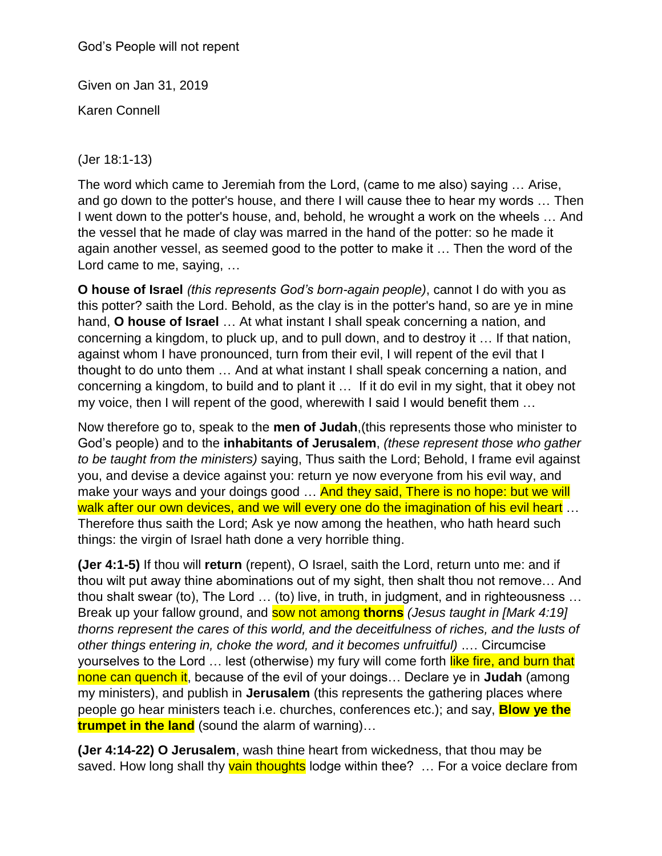God's People will not repent

Given on Jan 31, 2019

Karen Connell

(Jer 18:1-13)

The word which came to Jeremiah from the Lord, (came to me also) saying … Arise, and go down to the potter's house, and there I will cause thee to hear my words … Then I went down to the potter's house, and, behold, he wrought a work on the wheels … And the vessel that he made of clay was marred in the hand of the potter: so he made it again another vessel, as seemed good to the potter to make it … Then the word of the Lord came to me, saying, …

**O house of Israel** *(this represents God's born-again people)*, cannot I do with you as this potter? saith the Lord. Behold, as the clay is in the potter's hand, so are ye in mine hand, **O house of Israel** … At what instant I shall speak concerning a nation, and concerning a kingdom, to pluck up, and to pull down, and to destroy it … If that nation, against whom I have pronounced, turn from their evil, I will repent of the evil that I thought to do unto them … And at what instant I shall speak concerning a nation, and concerning a kingdom, to build and to plant it … If it do evil in my sight, that it obey not my voice, then I will repent of the good, wherewith I said I would benefit them …

Now therefore go to, speak to the **men of Judah**,(this represents those who minister to God's people) and to the **inhabitants of Jerusalem**, *(these represent those who gather to be taught from the ministers)* saying, Thus saith the Lord; Behold, I frame evil against you, and devise a device against you: return ye now everyone from his evil way, and make your ways and your doings good ... And they said, There is no hope: but we will walk after our own devices, and we will every one do the imagination of his evil heart ... Therefore thus saith the Lord; Ask ye now among the heathen, who hath heard such things: the virgin of Israel hath done a very horrible thing.

**(Jer 4:1-5)** If thou will **return** (repent), O Israel, saith the Lord, return unto me: and if thou wilt put away thine abominations out of my sight, then shalt thou not remove… And thou shalt swear (to), The Lord … (to) live, in truth, in judgment, and in righteousness … Break up your fallow ground, and sow not among **thorns** *(Jesus taught in [Mark 4:19] thorns represent the cares of this world, and the deceitfulness of riches, and the lusts of other things entering in, choke the word, and it becomes unfruitful)* .… Circumcise yourselves to the Lord ... lest (otherwise) my fury will come forth like fire, and burn that none can quench it, because of the evil of your doings… Declare ye in **Judah** (among my ministers), and publish in **Jerusalem** (this represents the gathering places where people go hear ministers teach i.e. churches, conferences etc.); and say, **Blow ye the trumpet in the land** (sound the alarm of warning)…

**(Jer 4:14-22) O Jerusalem**, wash thine heart from wickedness, that thou may be saved. How long shall thy vain thoughts lodge within thee? ... For a voice declare from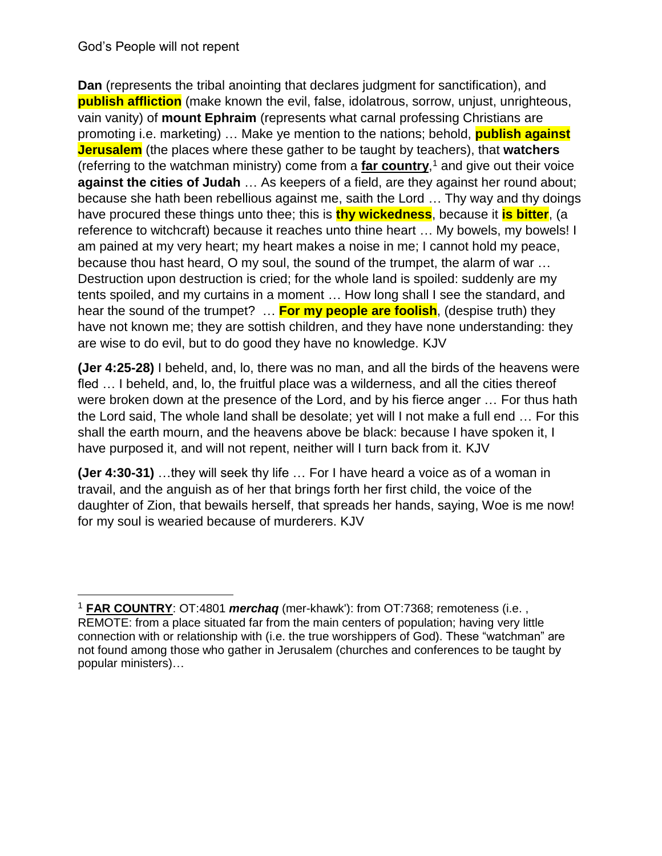$\overline{a}$ 

**Dan** (represents the tribal anointing that declares judgment for sanctification), and **publish affliction** (make known the evil, false, idolatrous, sorrow, unjust, unrighteous, vain vanity) of **mount Ephraim** (represents what carnal professing Christians are promoting i.e. marketing) … Make ye mention to the nations; behold, **publish against Jerusalem** (the places where these gather to be taught by teachers), that **watchers** (referring to the watchman ministry) come from a **far country**, <sup>1</sup> and give out their voice **against the cities of Judah** … As keepers of a field, are they against her round about; because she hath been rebellious against me, saith the Lord … Thy way and thy doings have procured these things unto thee; this is **thy wickedness**, because it **is bitter**, (a reference to witchcraft) because it reaches unto thine heart … My bowels, my bowels! I am pained at my very heart; my heart makes a noise in me; I cannot hold my peace, because thou hast heard, O my soul, the sound of the trumpet, the alarm of war … Destruction upon destruction is cried; for the whole land is spoiled: suddenly are my tents spoiled, and my curtains in a moment … How long shall I see the standard, and hear the sound of the trumpet? … **For my people are foolish**, (despise truth) they have not known me; they are sottish children, and they have none understanding: they are wise to do evil, but to do good they have no knowledge. KJV

**(Jer 4:25-28)** I beheld, and, lo, there was no man, and all the birds of the heavens were fled … I beheld, and, lo, the fruitful place was a wilderness, and all the cities thereof were broken down at the presence of the Lord, and by his fierce anger … For thus hath the Lord said, The whole land shall be desolate; yet will I not make a full end … For this shall the earth mourn, and the heavens above be black: because I have spoken it, I have purposed it, and will not repent, neither will I turn back from it. KJV

**(Jer 4:30-31)** …they will seek thy life … For I have heard a voice as of a woman in travail, and the anguish as of her that brings forth her first child, the voice of the daughter of Zion, that bewails herself, that spreads her hands, saying, Woe is me now! for my soul is wearied because of murderers. KJV

<sup>1</sup> **FAR COUNTRY**: OT:4801 *merchaq* (mer-khawk'): from OT:7368; remoteness (i.e. , REMOTE: from a place situated far from the main centers of population; having very little connection with or relationship with (i.e. the true worshippers of God). These "watchman" are not found among those who gather in Jerusalem (churches and conferences to be taught by popular ministers)…